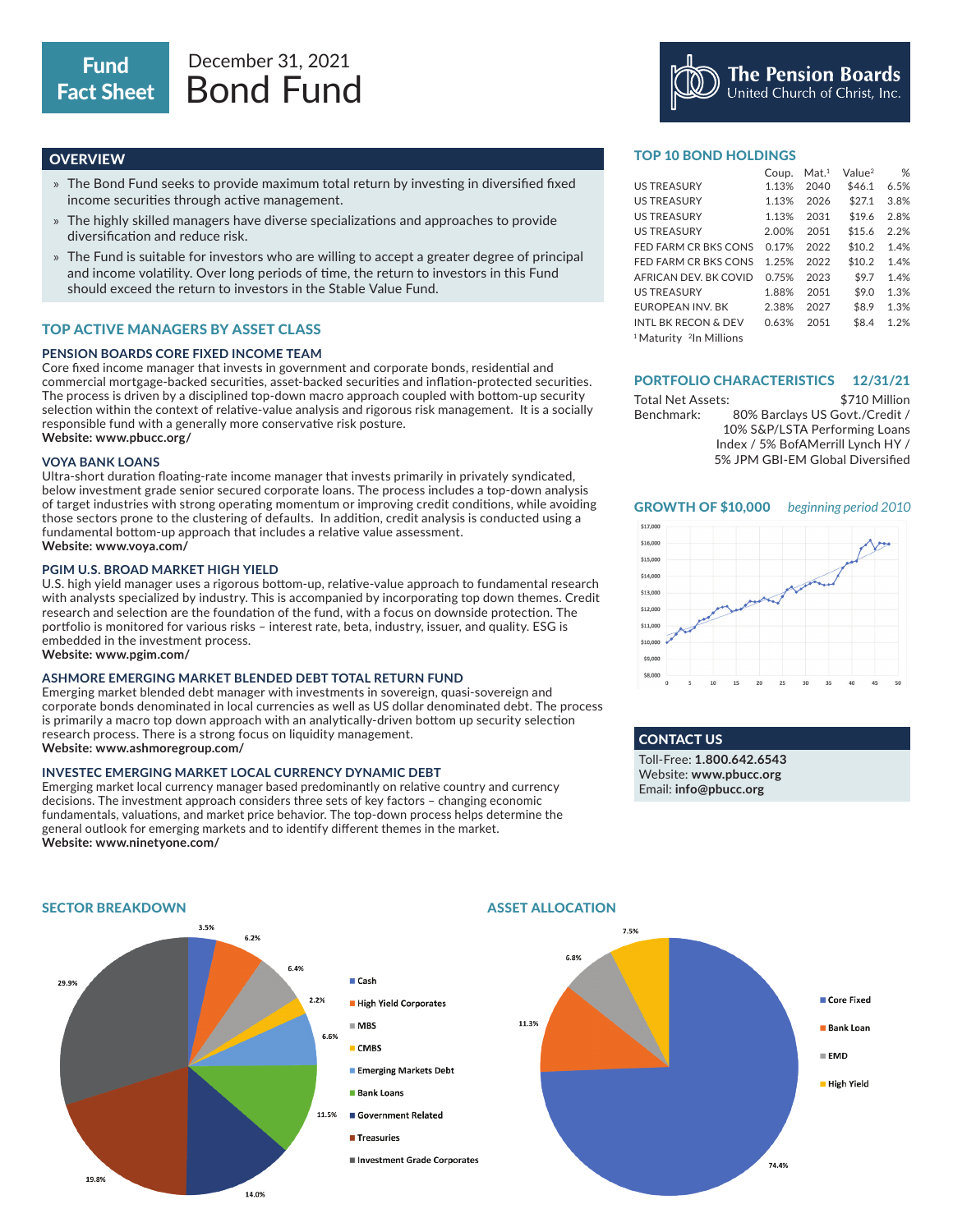# **OVERVIEW**

- » The Bond Fund seeks to provide maximum total return by investing in diversified fixed income securities through active management.
- » The highly skilled managers have diverse specializations and approaches to provide diversification and reduce risk.
- » The Fund is suitable for investors who are willing to accept a greater degree of principal and income volatility. Over long periods of time, the return to investors in this Fund should exceed the return to investors in the Stable Value Fund.

# TOP ACTIVE MANAGERS BY ASSET CLASS

# **PENSION BOARDS CORE FIXED INCOME TEAM**

Core fixed income manager that invests in government and corporate bonds, residential and commercial mortgage-backed securities, asset-backed securities and inflation-protected securities. The process is driven by a disciplined top-down macro approach coupled with bottom-up security selection within the context of relative-value analysis and rigorous risk management. It is a socially responsible fund with a generally more conservative risk posture. **Website: www.pbucc.org/**

## **VOYA BANK LOANS**

Ultra-short duration floating-rate income manager that invests primarily in privately syndicated, below investment grade senior secured corporate loans. The process includes a top-down analysis of target industries with strong operating momentum or improving credit conditions, while avoiding those sectors prone to the clustering of defaults. In addition, credit analysis is conducted using a fundamental bottom-up approach that includes a relative value assessment. **Website: www.voya.com/**

## **PGIM U.S. BROAD MARKET HIGH YIELD**

U.S. high yield manager uses a rigorous bottom-up, relative-value approach to fundamental research with analysts specialized by industry. This is accompanied by incorporating top down themes. Credit research and selection are the foundation of the fund, with a focus on downside protection. The portfolio is monitored for various risks – interest rate, beta, industry, issuer, and quality. ESG is embedded in the investment process.

# **Website: www.pgim.com/**

# **ASHMORE EMERGING MARKET BLENDED DEBT TOTAL RETURN FUND**

Emerging market blended debt manager with investments in sovereign, quasi-sovereign and corporate bonds denominated in local currencies as well as US dollar denominated debt. The process is primarily a macro top down approach with an analytically-driven bottom up security selection research process. There is a strong focus on liquidity management. **Website: www.ashmoregroup.com/**

## **INVESTEC EMERGING MARKET LOCAL CURRENCY DYNAMIC DEBT**

Emerging market local currency manager based predominantly on relative country and currency decisions. The investment approach considers three sets of key factors – changing economic fundamentals, valuations, and market price behavior. The top-down process helps determine the general outlook for emerging markets and to identify different themes in the market. **Website: www.ninetyone.com/**

## TOP 10 BOND HOLDINGS

|                                                | Coup. | Mat. <sup>1</sup> | Value <sup>2</sup> | %    |
|------------------------------------------------|-------|-------------------|--------------------|------|
| <b>US TREASURY</b>                             | 1.13% | 2040              | \$46.1             | 6.5% |
| <b>US TREASURY</b>                             | 1.13% | 2026              | \$27.1             | 3.8% |
| <b>US TREASURY</b>                             | 1.13% | 2031              | \$19.6             | 2.8% |
| <b>US TREASURY</b>                             | 2.00% | 2051              | \$15.6             | 2.2% |
| FED FARM CR BKS CONS                           | 0.17% | 2022              | \$10.2             | 1.4% |
| FED FARM CR BKS CONS                           | 1.25% | 2022              | \$10.2             | 1.4% |
| AFRICAN DEV. BK COVID                          | 0.75% | 2023              | \$9.7              | 1.4% |
| <b>US TREASURY</b>                             | 1.88% | 2051              | \$9.0              | 1.3% |
| <b>EUROPEAN INV. BK</b>                        | 2.38% | 2027              | \$8.9              | 1.3% |
| <b>INTL BK RECON &amp; DEV</b>                 | 0.63% | 2051              | \$8.4              | 1.2% |
| <sup>1</sup> Maturity <sup>2</sup> In Millions |       |                   |                    |      |

The Pension Boards<br>United Church of Christ, Inc.

### PORTFOLIO CHARACTERISTICS 12/31/21

Total Net Assets: Benchmark: \$710 Million 80% Barclays US Govt./Credit / 10% S&P/LSTA Performing Loans Index / 5% BofAMerrill Lynch HY / 5% JPM GBI-EM Global Diversified

## GROWTH OF \$10,000 *beginning period 2010*



# CONTACT US

Toll-Free: **1.800.642.6543** Website: **www.pbucc.org** Email: **info@pbucc.org**